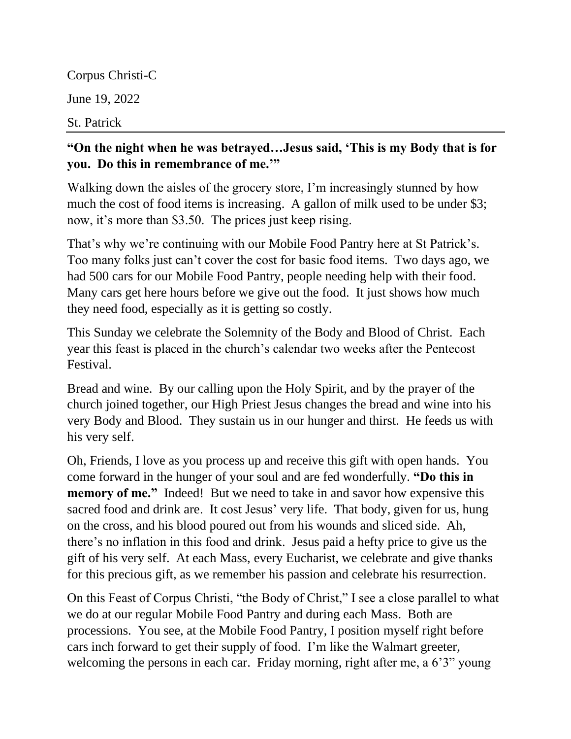Corpus Christi-C June 19, 2022 St. Patrick

## **"On the night when he was betrayed…Jesus said, 'This is my Body that is for you. Do this in remembrance of me.'"**

Walking down the aisles of the grocery store, I'm increasingly stunned by how much the cost of food items is increasing. A gallon of milk used to be under \$3; now, it's more than \$3.50. The prices just keep rising.

That's why we're continuing with our Mobile Food Pantry here at St Patrick's. Too many folks just can't cover the cost for basic food items. Two days ago, we had 500 cars for our Mobile Food Pantry, people needing help with their food. Many cars get here hours before we give out the food. It just shows how much they need food, especially as it is getting so costly.

This Sunday we celebrate the Solemnity of the Body and Blood of Christ. Each year this feast is placed in the church's calendar two weeks after the Pentecost Festival.

Bread and wine. By our calling upon the Holy Spirit, and by the prayer of the church joined together, our High Priest Jesus changes the bread and wine into his very Body and Blood. They sustain us in our hunger and thirst. He feeds us with his very self.

Oh, Friends, I love as you process up and receive this gift with open hands. You come forward in the hunger of your soul and are fed wonderfully. **"Do this in memory of me."** Indeed! But we need to take in and savor how expensive this sacred food and drink are. It cost Jesus' very life. That body, given for us, hung on the cross, and his blood poured out from his wounds and sliced side. Ah, there's no inflation in this food and drink. Jesus paid a hefty price to give us the gift of his very self. At each Mass, every Eucharist, we celebrate and give thanks for this precious gift, as we remember his passion and celebrate his resurrection.

On this Feast of Corpus Christi, "the Body of Christ," I see a close parallel to what we do at our regular Mobile Food Pantry and during each Mass. Both are processions. You see, at the Mobile Food Pantry, I position myself right before cars inch forward to get their supply of food. I'm like the Walmart greeter, welcoming the persons in each car. Friday morning, right after me, a 6'3" young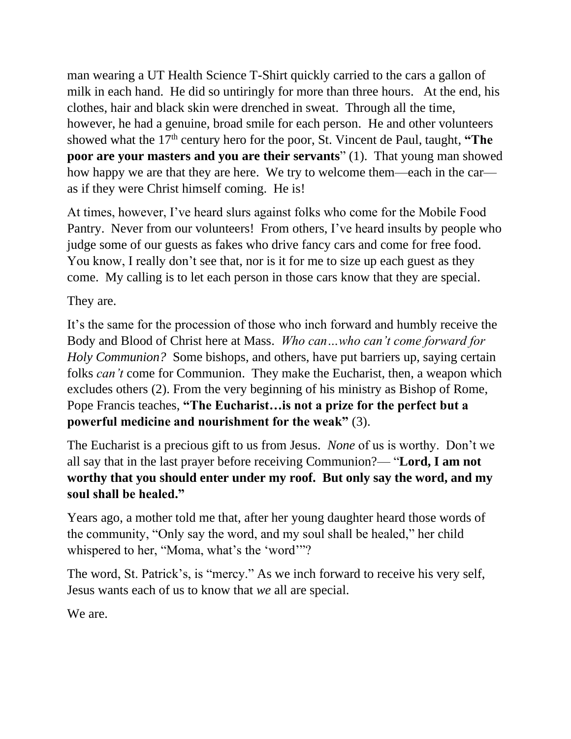man wearing a UT Health Science T-Shirt quickly carried to the cars a gallon of milk in each hand. He did so untiringly for more than three hours. At the end, his clothes, hair and black skin were drenched in sweat. Through all the time, however, he had a genuine, broad smile for each person. He and other volunteers showed what the 17<sup>th</sup> century hero for the poor, St. Vincent de Paul, taught, "The **poor are your masters and you are their servants**" (1). That young man showed how happy we are that they are here. We try to welcome them—each in the car as if they were Christ himself coming. He is!

At times, however, I've heard slurs against folks who come for the Mobile Food Pantry. Never from our volunteers! From others, I've heard insults by people who judge some of our guests as fakes who drive fancy cars and come for free food. You know, I really don't see that, nor is it for me to size up each guest as they come. My calling is to let each person in those cars know that they are special.

They are.

It's the same for the procession of those who inch forward and humbly receive the Body and Blood of Christ here at Mass. *Who can…who can't come forward for Holy Communion?* Some bishops, and others, have put barriers up, saying certain folks *can't* come for Communion. They make the Eucharist, then, a weapon which excludes others (2). From the very beginning of his ministry as Bishop of Rome, Pope Francis teaches, **"The Eucharist…is not a prize for the perfect but a powerful medicine and nourishment for the weak"** (3).

The Eucharist is a precious gift to us from Jesus. *None* of us is worthy. Don't we all say that in the last prayer before receiving Communion?— "**Lord, I am not worthy that you should enter under my roof. But only say the word, and my soul shall be healed."**

Years ago, a mother told me that, after her young daughter heard those words of the community, "Only say the word, and my soul shall be healed," her child whispered to her, "Moma, what's the 'word'"?

The word, St. Patrick's, is "mercy." As we inch forward to receive his very self, Jesus wants each of us to know that *we* all are special.

We are.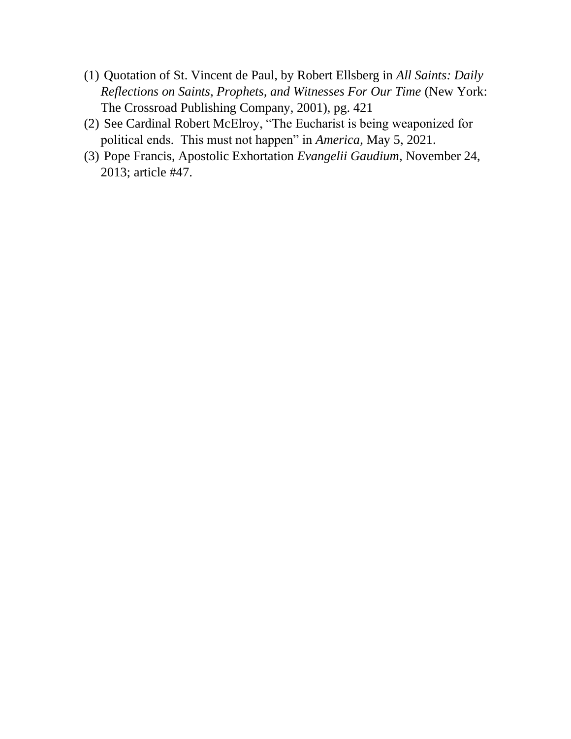- (1) Quotation of St. Vincent de Paul, by Robert Ellsberg in *All Saints: Daily Reflections on Saints, Prophets, and Witnesses For Our Time* (New York: The Crossroad Publishing Company, 2001), pg. 421
- (2) See Cardinal Robert McElroy, "The Eucharist is being weaponized for political ends. This must not happen" in *America*, May 5, 2021.
- (3) Pope Francis, Apostolic Exhortation *Evangelii Gaudium*, November 24, 2013; article #47.